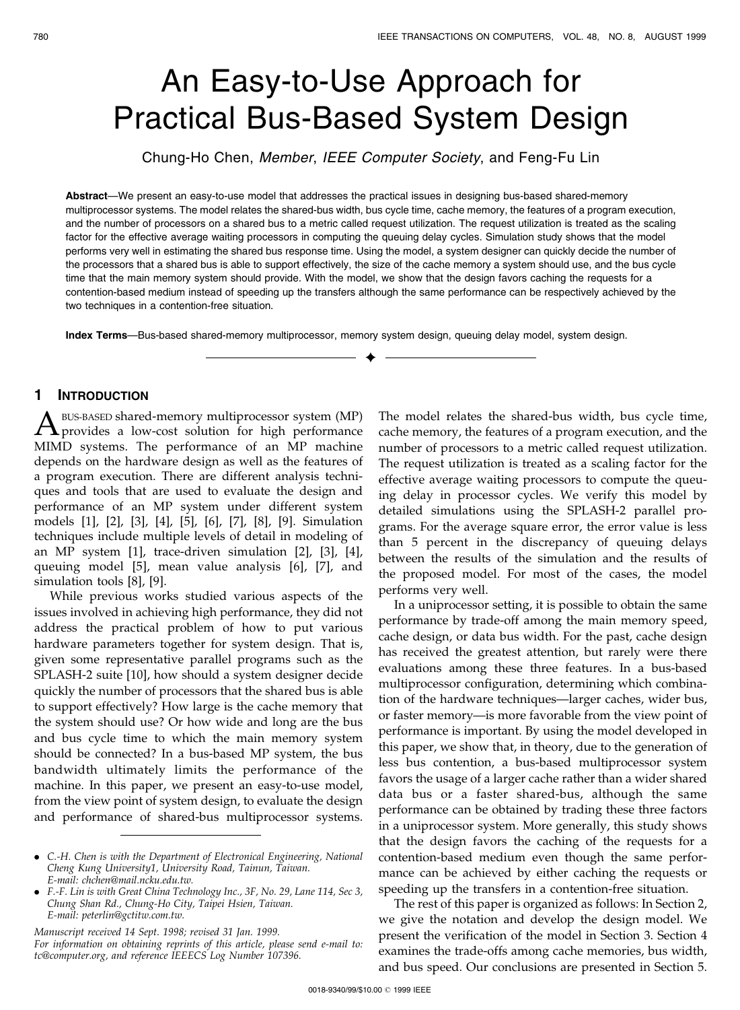# An Easy-to-Use Approach for Practical Bus-Based System Design

Chung-Ho Chen, Member, IEEE Computer Society, and Feng-Fu Lin

Abstract–We present an easy-to-use model that addresses the practical issues in designing bus-based shared-memory multiprocessor systems. The model relates the shared-bus width, bus cycle time, cache memory, the features of a program execution, and the number of processors on a shared bus to a metric called request utilization. The request utilization is treated as the scaling factor for the effective average waiting processors in computing the queuing delay cycles. Simulation study shows that the model performs very well in estimating the shared bus response time. Using the model, a system designer can quickly decide the number of the processors that a shared bus is able to support effectively, the size of the cache memory a system should use, and the bus cycle time that the main memory system should provide. With the model, we show that the design favors caching the requests for a contention-based medium instead of speeding up the transfers although the same performance can be respectively achieved by the two techniques in a contention-free situation.

 $\blacklozenge$ 

Index Terms—Bus-based shared-memory multiprocessor, memory system design, queuing delay model, system design.

## 1 INTRODUCTION

A BUS-BASED shared-memory multiprocessor system (MP)<br>MPA provides a low-cost solution for high performance MIMD systems. The performance of an MP machine depends on the hardware design as well as the features of a program execution. There are different analysis techniques and tools that are used to evaluate the design and performance of an MP system under different system models [1], [2], [3], [4], [5], [6], [7], [8], [9]. Simulation techniques include multiple levels of detail in modeling of an MP system [1], trace-driven simulation [2], [3], [4], queuing model [5], mean value analysis [6], [7], and simulation tools [8], [9].

While previous works studied various aspects of the issues involved in achieving high performance, they did not address the practical problem of how to put various hardware parameters together for system design. That is, given some representative parallel programs such as the SPLASH-2 suite [10], how should a system designer decide quickly the number of processors that the shared bus is able to support effectively? How large is the cache memory that the system should use? Or how wide and long are the bus and bus cycle time to which the main memory system should be connected? In a bus-based MP system, the bus bandwidth ultimately limits the performance of the machine. In this paper, we present an easy-to-use model, from the view point of system design, to evaluate the design and performance of shared-bus multiprocessor systems.

Manuscript received 14 Sept. 1998; revised 31 Jan. 1999.

For information on obtaining reprints of this article, please send e-mail to: tc@computer.org, and reference IEEECS Log Number 107396.

The model relates the shared-bus width, bus cycle time, cache memory, the features of a program execution, and the number of processors to a metric called request utilization. The request utilization is treated as a scaling factor for the effective average waiting processors to compute the queuing delay in processor cycles. We verify this model by detailed simulations using the SPLASH-2 parallel programs. For the average square error, the error value is less than 5 percent in the discrepancy of queuing delays between the results of the simulation and the results of the proposed model. For most of the cases, the model performs very well.

In a uniprocessor setting, it is possible to obtain the same performance by trade-off among the main memory speed, cache design, or data bus width. For the past, cache design has received the greatest attention, but rarely were there evaluations among these three features. In a bus-based multiprocessor configuration, determining which combination of the hardware techniques—larger caches, wider bus, or faster memory—is more favorable from the view point of performance is important. By using the model developed in this paper, we show that, in theory, due to the generation of less bus contention, a bus-based multiprocessor system favors the usage of a larger cache rather than a wider shared data bus or a faster shared-bus, although the same performance can be obtained by trading these three factors in a uniprocessor system. More generally, this study shows that the design favors the caching of the requests for a contention-based medium even though the same performance can be achieved by either caching the requests or speeding up the transfers in a contention-free situation.

The rest of this paper is organized as follows: In Section 2, we give the notation and develop the design model. We present the verification of the model in Section 3. Section 4 examines the trade-offs among cache memories, bus width, and bus speed. Our conclusions are presented in Section 5.

<sup>.</sup> C.-H. Chen is with the Department of Electronical Engineering, National Cheng Kung University1, University Road, Tainun, Taiwan. E-mail: chchen@mail.ncku.edu.tw.

<sup>.</sup> F.-F. Lin is with Great China Technology Inc., 3F, No. 29, Lane 114, Sec 3, Chung Shan Rd., Chung-Ho City, Taipei Hsien, Taiwan. E-mail: peterlin@gctitw.com.tw.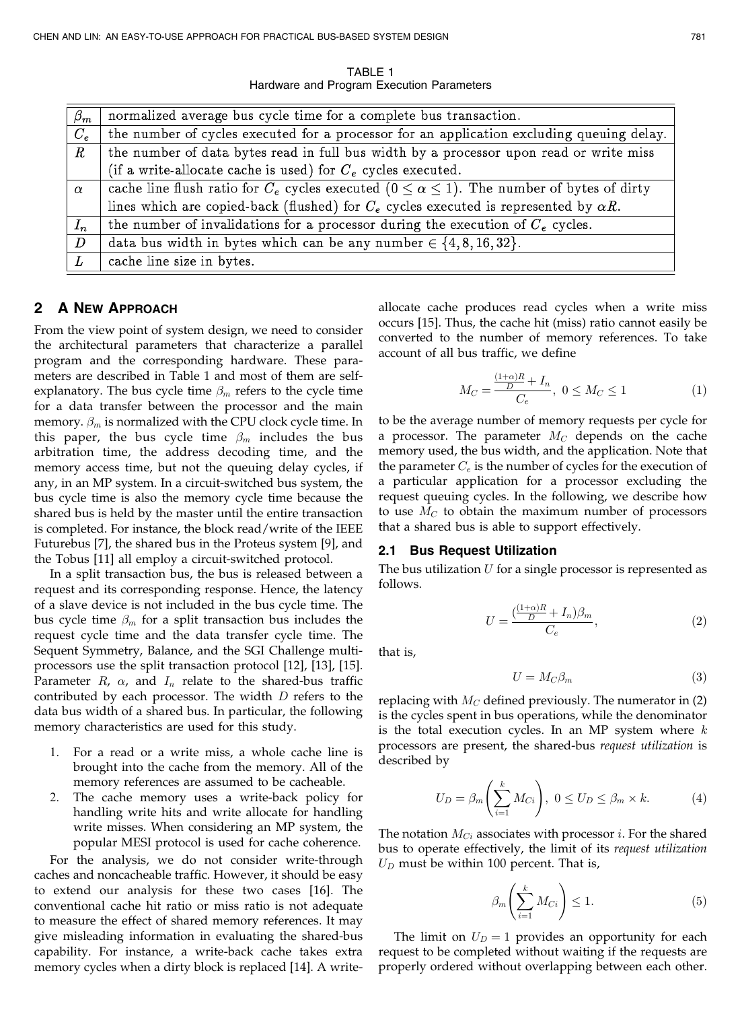TABLE 1 Hardware and Program Execution Parameters

| $\beta_m$        | normalized average bus cycle time for a complete bus transaction.                                      |
|------------------|--------------------------------------------------------------------------------------------------------|
| $C_e$            | the number of cycles executed for a processor for an application excluding queuing delay.              |
| $\boldsymbol{R}$ | the number of data bytes read in full bus width by a processor upon read or write miss                 |
|                  | (if a write-allocate cache is used) for $C_e$ cycles executed.                                         |
| $\alpha$         | cache line flush ratio for $C_e$ cycles executed $(0 \le \alpha \le 1)$ . The number of bytes of dirty |
|                  | lines which are copied-back (flushed) for $C_e$ cycles executed is represented by $\alpha R$ .         |
| $I_n$            | the number of invalidations for a processor during the execution of $C_e$ cycles.                      |
| $\boldsymbol{D}$ | data bus width in bytes which can be any number $\in \{4, 8, 16, 32\}.$                                |
| L                | cache line size in bytes.                                                                              |

## 2 A NEW APPROACH

From the view point of system design, we need to consider the architectural parameters that characterize a parallel program and the corresponding hardware. These parameters are described in Table 1 and most of them are selfexplanatory. The bus cycle time  $\beta_m$  refers to the cycle time for a data transfer between the processor and the main memory.  $\beta_m$  is normalized with the CPU clock cycle time. In this paper, the bus cycle time  $\beta_m$  includes the bus arbitration time, the address decoding time, and the memory access time, but not the queuing delay cycles, if any, in an MP system. In a circuit-switched bus system, the bus cycle time is also the memory cycle time because the shared bus is held by the master until the entire transaction is completed. For instance, the block read/write of the IEEE Futurebus [7], the shared bus in the Proteus system [9], and the Tobus [11] all employ a circuit-switched protocol.

In a split transaction bus, the bus is released between a request and its corresponding response. Hence, the latency of a slave device is not included in the bus cycle time. The bus cycle time  $\beta_m$  for a split transaction bus includes the request cycle time and the data transfer cycle time. The Sequent Symmetry, Balance, and the SGI Challenge multiprocessors use the split transaction protocol [12], [13], [15]. Parameter  $R$ ,  $\alpha$ , and  $I_n$  relate to the shared-bus traffic contributed by each processor. The width  $D$  refers to the data bus width of a shared bus. In particular, the following memory characteristics are used for this study.

- 1. For a read or a write miss, a whole cache line is brought into the cache from the memory. All of the memory references are assumed to be cacheable.
- 2. The cache memory uses a write-back policy for handling write hits and write allocate for handling write misses. When considering an MP system, the popular MESI protocol is used for cache coherence.

For the analysis, we do not consider write-through caches and noncacheable traffic. However, it should be easy to extend our analysis for these two cases [16]. The conventional cache hit ratio or miss ratio is not adequate to measure the effect of shared memory references. It may give misleading information in evaluating the shared-bus capability. For instance, a write-back cache takes extra memory cycles when a dirty block is replaced [14]. A writeallocate cache produces read cycles when a write miss occurs [15]. Thus, the cache hit (miss) ratio cannot easily be converted to the number of memory references. To take account of all bus traffic, we define

$$
M_C = \frac{\frac{(1+\alpha)R}{D} + I_n}{C_e}, \ 0 \le M_C \le 1 \tag{1}
$$

to be the average number of memory requests per cycle for a processor. The parameter  $M_C$  depends on the cache memory used, the bus width, and the application. Note that the parameter  $C_e$  is the number of cycles for the execution of a particular application for a processor excluding the request queuing cycles. In the following, we describe how to use  $M_C$  to obtain the maximum number of processors that a shared bus is able to support effectively.

#### 2.1 Bus Request Utilization

The bus utilization  $U$  for a single processor is represented as follows.

$$
U = \frac{\left(\frac{(1+\alpha)R}{D} + I_n\right)\beta_m}{C_e},\tag{2}
$$

that is,

$$
U = M_C \beta_m \tag{3}
$$

replacing with  $M_C$  defined previously. The numerator in (2) is the cycles spent in bus operations, while the denominator is the total execution cycles. In an MP system where  $k$ processors are present, the shared-bus request utilization is described by

$$
U_D = \beta_m \left( \sum_{i=1}^k M_{Ci} \right), \ 0 \le U_D \le \beta_m \times k. \tag{4}
$$

The notation  $M_{Ci}$  associates with processor *i*. For the shared bus to operate effectively, the limit of its request utilization  $U_D$  must be within 100 percent. That is,

$$
\beta_m \left( \sum_{i=1}^k M_{Ci} \right) \le 1. \tag{5}
$$

The limit on  $U_D = 1$  provides an opportunity for each request to be completed without waiting if the requests are properly ordered without overlapping between each other.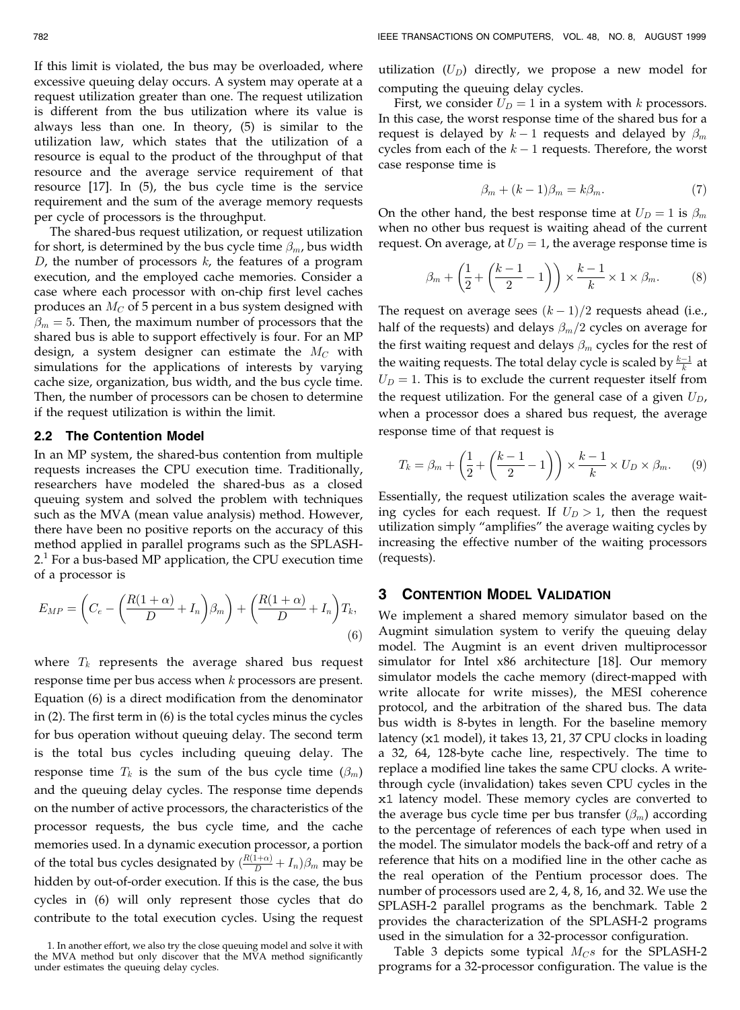If this limit is violated, the bus may be overloaded, where excessive queuing delay occurs. A system may operate at a request utilization greater than one. The request utilization is different from the bus utilization where its value is always less than one. In theory, (5) is similar to the utilization law, which states that the utilization of a resource is equal to the product of the throughput of that resource and the average service requirement of that resource [17]. In (5), the bus cycle time is the service requirement and the sum of the average memory requests per cycle of processors is the throughput.

The shared-bus request utilization, or request utilization for short, is determined by the bus cycle time  $\beta_m$ , bus width D, the number of processors  $k$ , the features of a program execution, and the employed cache memories. Consider a case where each processor with on-chip first level caches produces an  $M_C$  of 5 percent in a bus system designed with  $\beta_m = 5$ . Then, the maximum number of processors that the shared bus is able to support effectively is four. For an MP design, a system designer can estimate the  $M_C$  with simulations for the applications of interests by varying cache size, organization, bus width, and the bus cycle time. Then, the number of processors can be chosen to determine if the request utilization is within the limit.

#### 2.2 The Contention Model

In an MP system, the shared-bus contention from multiple requests increases the CPU execution time. Traditionally, researchers have modeled the shared-bus as a closed queuing system and solved the problem with techniques such as the MVA (mean value analysis) method. However, there have been no positive reports on the accuracy of this method applied in parallel programs such as the SPLASH- $2<sup>1</sup>$  For a bus-based MP application, the CPU execution time of a processor is

$$
E_{MP} = \left(C_e - \left(\frac{R(1+\alpha)}{D} + I_n\right)\beta_m\right) + \left(\frac{R(1+\alpha)}{D} + I_n\right)T_k,
$$
\n(6)

where  $T_k$  represents the average shared bus request response time per bus access when k processors are present. Equation (6) is a direct modification from the denominator in (2). The first term in (6) is the total cycles minus the cycles for bus operation without queuing delay. The second term is the total bus cycles including queuing delay. The response time  $T_k$  is the sum of the bus cycle time  $(\beta_m)$ and the queuing delay cycles. The response time depends on the number of active processors, the characteristics of the processor requests, the bus cycle time, and the cache memories used. In a dynamic execution processor, a portion of the total bus cycles designated by  $\left(\frac{R(1+\alpha)}{D} + I_n\right)\beta_m$  may be hidden by out-of-order execution. If this is the case, the bus cycles in (6) will only represent those cycles that do contribute to the total execution cycles. Using the request utilization  $(U_D)$  directly, we propose a new model for computing the queuing delay cycles.

First, we consider  $U_D = 1$  in a system with k processors. In this case, the worst response time of the shared bus for a request is delayed by  $k-1$  requests and delayed by  $\beta_m$ cycles from each of the  $k - 1$  requests. Therefore, the worst case response time is

$$
\beta_m + (k-1)\beta_m = k\beta_m. \tag{7}
$$

On the other hand, the best response time at  $U_D = 1$  is  $\beta_m$ when no other bus request is waiting ahead of the current request. On average, at  $U_D = 1$ , the average response time is

$$
\beta_m + \left(\frac{1}{2} + \left(\frac{k-1}{2} - 1\right)\right) \times \frac{k-1}{k} \times 1 \times \beta_m.
$$
 (8)

The request on average sees  $(k - 1)/2$  requests ahead (i.e., half of the requests) and delays  $\beta_m/2$  cycles on average for the first waiting request and delays  $\beta_m$  cycles for the rest of the waiting requests. The total delay cycle is scaled by  $\frac{k-1}{k}$  at  $U_D = 1$ . This is to exclude the current requester itself from the request utilization. For the general case of a given  $U_D$ , when a processor does a shared bus request, the average response time of that request is

$$
T_k = \beta_m + \left(\frac{1}{2} + \left(\frac{k-1}{2} - 1\right)\right) \times \frac{k-1}{k} \times U_D \times \beta_m.
$$
 (9)

Essentially, the request utilization scales the average waiting cycles for each request. If  $U_D > 1$ , then the request utilization simply "amplifies" the average waiting cycles by increasing the effective number of the waiting processors (requests).

## 3 CONTENTION MODEL VALIDATION

We implement a shared memory simulator based on the Augmint simulation system to verify the queuing delay model. The Augmint is an event driven multiprocessor simulator for Intel x86 architecture [18]. Our memory simulator models the cache memory (direct-mapped with write allocate for write misses), the MESI coherence protocol, and the arbitration of the shared bus. The data bus width is 8-bytes in length. For the baseline memory latency (x1 model), it takes 13, 21, 37 CPU clocks in loading a 32, 64, 128-byte cache line, respectively. The time to replace a modified line takes the same CPU clocks. A writethrough cycle (invalidation) takes seven CPU cycles in the x1 latency model. These memory cycles are converted to the average bus cycle time per bus transfer  $(\beta_m)$  according to the percentage of references of each type when used in the model. The simulator models the back-off and retry of a reference that hits on a modified line in the other cache as the real operation of the Pentium processor does. The number of processors used are 2, 4, 8, 16, and 32. We use the SPLASH-2 parallel programs as the benchmark. Table 2 provides the characterization of the SPLASH-2 programs used in the simulation for a 32-processor configuration.

Table 3 depicts some typical  $M_Cs$  for the SPLASH-2 programs for a 32-processor configuration. The value is the

<sup>1.</sup> In another effort, we also try the close queuing model and solve it with the MVA method but only discover that the MVA method significantly under estimates the queuing delay cycles.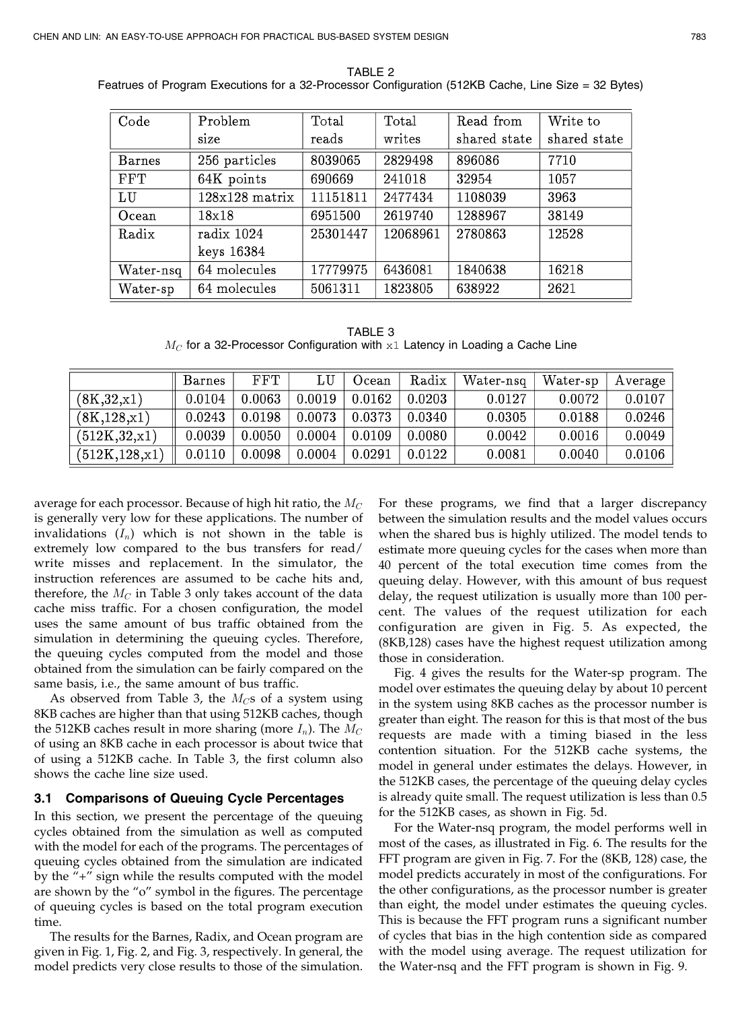Total Read from Problem Total Write to Code size reads writes shared state shared state 256 particles 8039065 2829498 7710 Barnes 896086 **FFT** 64K points 690669 241018 32954 1057 LU 2477434 128x128 matrix 11151811 1108039 3963 Ocean 18x18 6951500 2619740 1288967 38149 Radix 12528 radix 1024 25301447 12068961 2780863 keys 16384 Water-nsq 64 molecules 17779975 6436081 1840638 16218 64 molecules Water-sp 5061311 1823805 638922 2621

TABLE 2 Featrues of Program Executions for a 32-Processor Configuration (512KB Cache, Line Size = 32 Bytes)

TABLE 3  $M_C$  for a 32-Processor Configuration with  $x1$  Latency in Loading a Cache Line

|                 | <b>Barnes</b> | <b>FFT</b> | LU     | Ocean  | Radix  | Water-nsq | Water-sp | Average |
|-----------------|---------------|------------|--------|--------|--------|-----------|----------|---------|
| (8K, 32, x1)    | 0.0104        | 0.0063     | 0.0019 | 0.0162 | 0.0203 | 0.0127    | 0.0072   | 0.0107  |
| (8K, 128, x1)   | 0.0243        | 0.0198     | 0.0073 | 0.0373 | 0.0340 | 0.0305    | 0.0188   | 0.0246  |
| (512K, 32, x1)  | 0.0039        | 0.0050     | 0.0004 | 0.0109 | 0.0080 | 0.0042    | 0.0016   | 0.0049  |
| (512K, 128, x1) | 0.0110        | 0.0098     | 0.0004 | 0.0291 | 0.0122 | 0.0081    | 0.0040   | 0.0106  |

average for each processor. Because of high hit ratio, the  $M_C$ is generally very low for these applications. The number of invalidations  $(I_n)$  which is not shown in the table is extremely low compared to the bus transfers for read/ write misses and replacement. In the simulator, the instruction references are assumed to be cache hits and, therefore, the  $M_C$  in Table 3 only takes account of the data cache miss traffic. For a chosen configuration, the model uses the same amount of bus traffic obtained from the simulation in determining the queuing cycles. Therefore, the queuing cycles computed from the model and those obtained from the simulation can be fairly compared on the same basis, i.e., the same amount of bus traffic.

As observed from Table 3, the  $M_C$ s of a system using 8KB caches are higher than that using 512KB caches, though the 512KB caches result in more sharing (more  $I_n$ ). The  $M_C$ of using an 8KB cache in each processor is about twice that of using a 512KB cache. In Table 3, the first column also shows the cache line size used.

#### 3.1 Comparisons of Queuing Cycle Percentages

In this section, we present the percentage of the queuing cycles obtained from the simulation as well as computed with the model for each of the programs. The percentages of queuing cycles obtained from the simulation are indicated by the "+" sign while the results computed with the model are shown by the "o" symbol in the figures. The percentage of queuing cycles is based on the total program execution time.

The results for the Barnes, Radix, and Ocean program are given in Fig. 1, Fig. 2, and Fig. 3, respectively. In general, the model predicts very close results to those of the simulation. For these programs, we find that a larger discrepancy between the simulation results and the model values occurs when the shared bus is highly utilized. The model tends to estimate more queuing cycles for the cases when more than 40 percent of the total execution time comes from the queuing delay. However, with this amount of bus request delay, the request utilization is usually more than 100 percent. The values of the request utilization for each configuration are given in Fig. 5. As expected, the (8KB,128) cases have the highest request utilization among those in consideration.

Fig. 4 gives the results for the Water-sp program. The model over estimates the queuing delay by about 10 percent in the system using 8KB caches as the processor number is greater than eight. The reason for this is that most of the bus requests are made with a timing biased in the less contention situation. For the 512KB cache systems, the model in general under estimates the delays. However, in the 512KB cases, the percentage of the queuing delay cycles is already quite small. The request utilization is less than 0.5 for the 512KB cases, as shown in Fig. 5d.

For the Water-nsq program, the model performs well in most of the cases, as illustrated in Fig. 6. The results for the FFT program are given in Fig. 7. For the (8KB, 128) case, the model predicts accurately in most of the configurations. For the other configurations, as the processor number is greater than eight, the model under estimates the queuing cycles. This is because the FFT program runs a significant number of cycles that bias in the high contention side as compared with the model using average. The request utilization for the Water-nsq and the FFT program is shown in Fig. 9.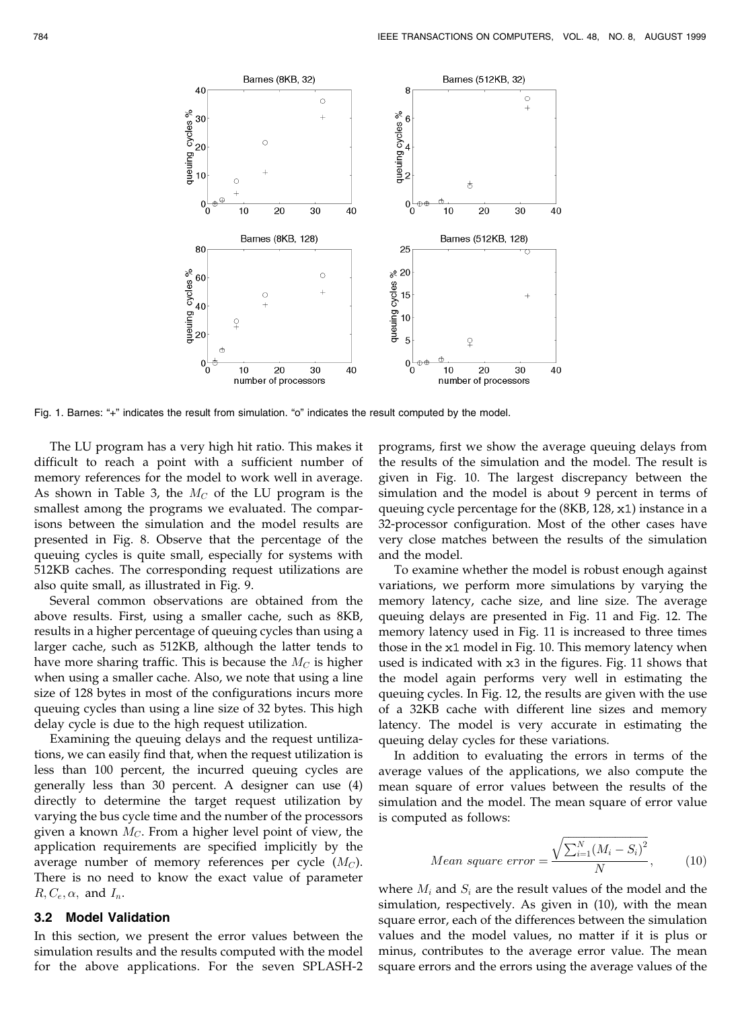

Fig. 1. Barnes: "+" indicates the result from simulation. "o" indicates the result computed by the model.

The LU program has a very high hit ratio. This makes it difficult to reach a point with a sufficient number of memory references for the model to work well in average. As shown in Table 3, the  $M_C$  of the LU program is the smallest among the programs we evaluated. The comparisons between the simulation and the model results are presented in Fig. 8. Observe that the percentage of the queuing cycles is quite small, especially for systems with 512KB caches. The corresponding request utilizations are also quite small, as illustrated in Fig. 9.

Several common observations are obtained from the above results. First, using a smaller cache, such as 8KB, results in a higher percentage of queuing cycles than using a larger cache, such as 512KB, although the latter tends to have more sharing traffic. This is because the  $M_C$  is higher when using a smaller cache. Also, we note that using a line size of 128 bytes in most of the configurations incurs more queuing cycles than using a line size of 32 bytes. This high delay cycle is due to the high request utilization.

Examining the queuing delays and the request untilizations, we can easily find that, when the request utilization is less than 100 percent, the incurred queuing cycles are generally less than 30 percent. A designer can use (4) directly to determine the target request utilization by varying the bus cycle time and the number of the processors given a known  $M_C$ . From a higher level point of view, the application requirements are specified implicitly by the average number of memory references per cycle  $(M_C)$ . There is no need to know the exact value of parameter  $R, C_e, \alpha$ , and  $I_n$ .

#### 3.2 Model Validation

In this section, we present the error values between the simulation results and the results computed with the model for the above applications. For the seven SPLASH-2 programs, first we show the average queuing delays from the results of the simulation and the model. The result is given in Fig. 10. The largest discrepancy between the simulation and the model is about 9 percent in terms of queuing cycle percentage for the (8KB, 128, x1) instance in a 32-processor configuration. Most of the other cases have very close matches between the results of the simulation and the model.

To examine whether the model is robust enough against variations, we perform more simulations by varying the memory latency, cache size, and line size. The average queuing delays are presented in Fig. 11 and Fig. 12. The memory latency used in Fig. 11 is increased to three times those in the x1 model in Fig. 10. This memory latency when used is indicated with x3 in the figures. Fig. 11 shows that the model again performs very well in estimating the queuing cycles. In Fig. 12, the results are given with the use of a 32KB cache with different line sizes and memory latency. The model is very accurate in estimating the queuing delay cycles for these variations.

In addition to evaluating the errors in terms of the average values of the applications, we also compute the mean square of error values between the results of the simulation and the model. The mean square of error value is computed as follows:

Mean square error = 
$$
\frac{\sqrt{\sum_{i=1}^{N} (M_i - S_i)^2}}{N},
$$
 (10)

where  $M_i$  and  $S_i$  are the result values of the model and the simulation, respectively. As given in (10), with the mean square error, each of the differences between the simulation values and the model values, no matter if it is plus or minus, contributes to the average error value. The mean square errors and the errors using the average values of the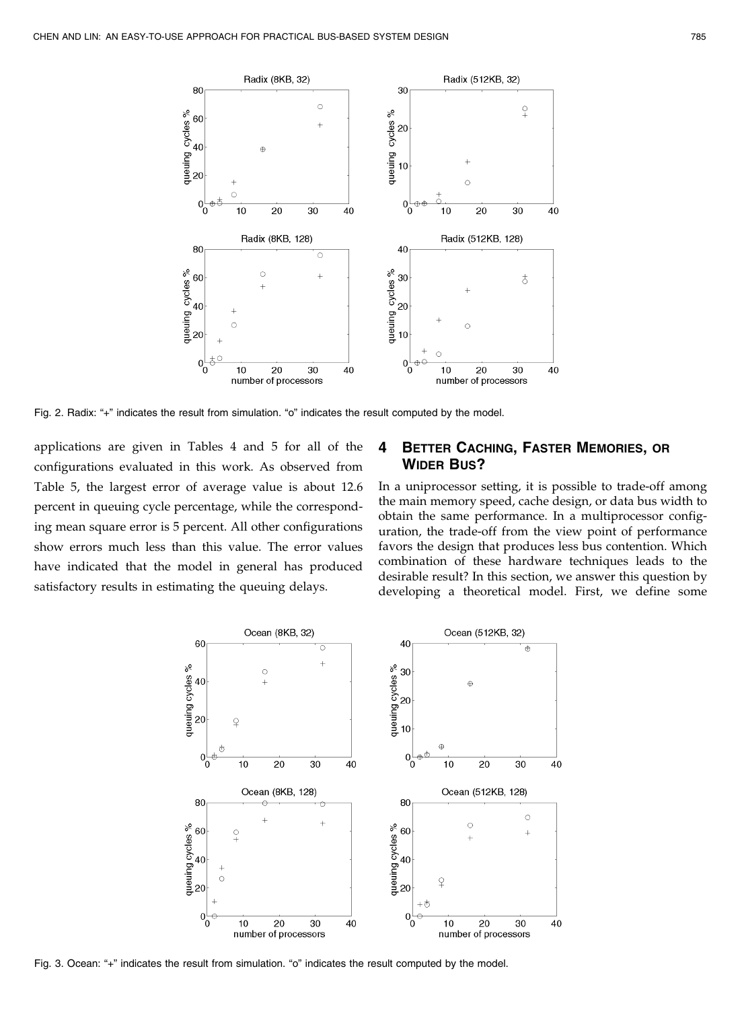

Fig. 2. Radix: "+" indicates the result from simulation. "o" indicates the result computed by the model.

applications are given in Tables 4 and 5 for all of the configurations evaluated in this work. As observed from Table 5, the largest error of average value is about 12.6 percent in queuing cycle percentage, while the corresponding mean square error is 5 percent. All other configurations show errors much less than this value. The error values have indicated that the model in general has produced satisfactory results in estimating the queuing delays.

## 4 BETTER CACHING, FASTER MEMORIES, OR WIDER BUS?

In a uniprocessor setting, it is possible to trade-off among the main memory speed, cache design, or data bus width to obtain the same performance. In a multiprocessor configuration, the trade-off from the view point of performance favors the design that produces less bus contention. Which combination of these hardware techniques leads to the desirable result? In this section, we answer this question by developing a theoretical model. First, we define some



Fig. 3. Ocean: "+" indicates the result from simulation. "o" indicates the result computed by the model.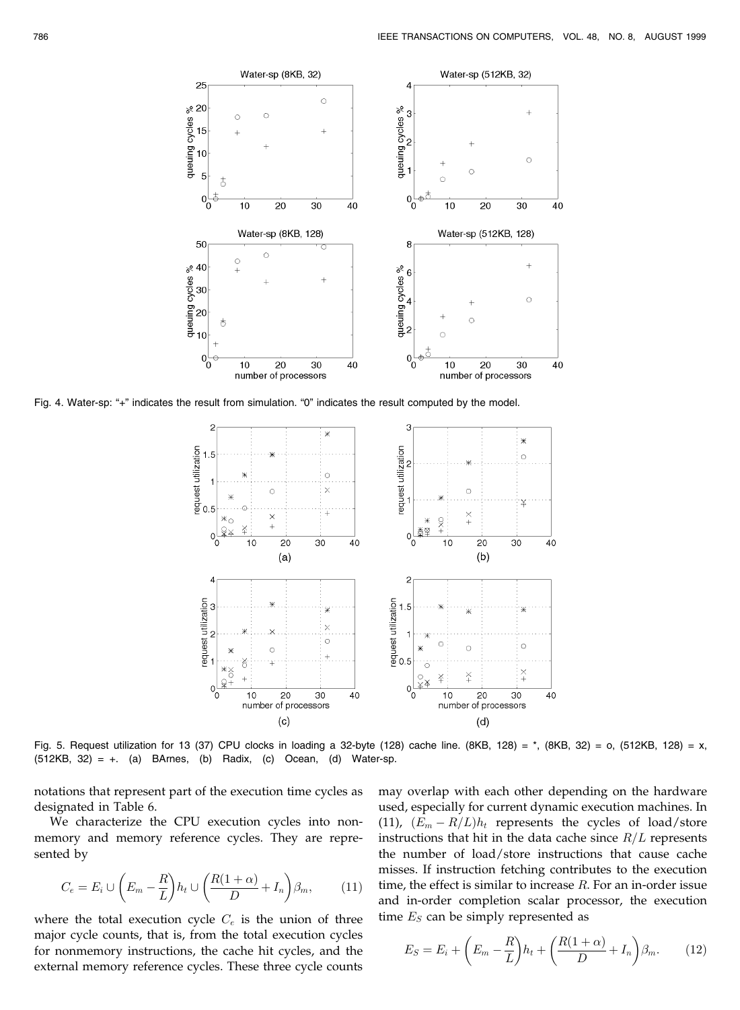

Fig. 4. Water-sp: ª+º indicates the result from simulation. ª0º indicates the result computed by the model.



Fig. 5. Request utilization for 13 (37) CPU clocks in loading a 32-byte (128) cache line. (8KB, 128) = \*, (8KB, 32) = o, (512KB, 128) = x,  $(512KB, 32) = +$ . (a) BArnes, (b) Radix, (c) Ocean, (d) Water-sp.

notations that represent part of the execution time cycles as designated in Table 6.

We characterize the CPU execution cycles into nonmemory and memory reference cycles. They are represented by

$$
C_e = E_i \cup \left( E_m - \frac{R}{L} \right) h_t \cup \left( \frac{R(1+\alpha)}{D} + I_n \right) \beta_m, \tag{11}
$$

where the total execution cycle  $C_e$  is the union of three major cycle counts, that is, from the total execution cycles for nonmemory instructions, the cache hit cycles, and the external memory reference cycles. These three cycle counts

may overlap with each other depending on the hardware used, especially for current dynamic execution machines. In (11),  $(E_m - R/L)h_t$  represents the cycles of load/store instructions that hit in the data cache since  $R/L$  represents the number of load/store instructions that cause cache misses. If instruction fetching contributes to the execution time, the effect is similar to increase  $R$ . For an in-order issue and in-order completion scalar processor, the execution time  $E_S$  can be simply represented as

$$
E_S = E_i + \left(E_m - \frac{R}{L}\right)h_t + \left(\frac{R(1+\alpha)}{D} + I_n\right)\beta_m.
$$
 (12)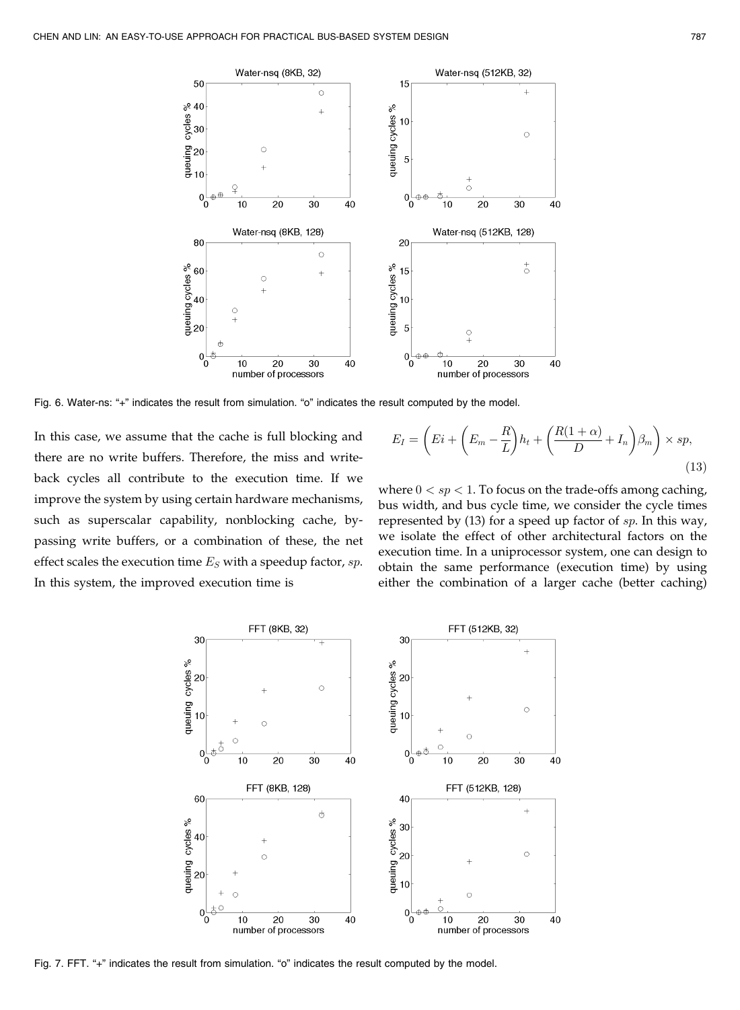

Fig. 6. Water-ns: "+" indicates the result from simulation. "o" indicates the result computed by the model.

In this case, we assume that the cache is full blocking and there are no write buffers. Therefore, the miss and writeback cycles all contribute to the execution time. If we improve the system by using certain hardware mechanisms, such as superscalar capability, nonblocking cache, bypassing write buffers, or a combination of these, the net effect scales the execution time  $E_S$  with a speedup factor, sp. In this system, the improved execution time is

$$
E_I = \left( Ei + \left( E_m - \frac{R}{L} \right) h_t + \left( \frac{R(1+\alpha)}{D} + I_n \right) \beta_m \right) \times sp,
$$
\n(13)

where  $0 < sp < 1$ . To focus on the trade-offs among caching, bus width, and bus cycle time, we consider the cycle times represented by  $(13)$  for a speed up factor of  $sp$ . In this way, we isolate the effect of other architectural factors on the execution time. In a uniprocessor system, one can design to obtain the same performance (execution time) by using either the combination of a larger cache (better caching)



Fig. 7. FFT. "+" indicates the result from simulation. "o" indicates the result computed by the model.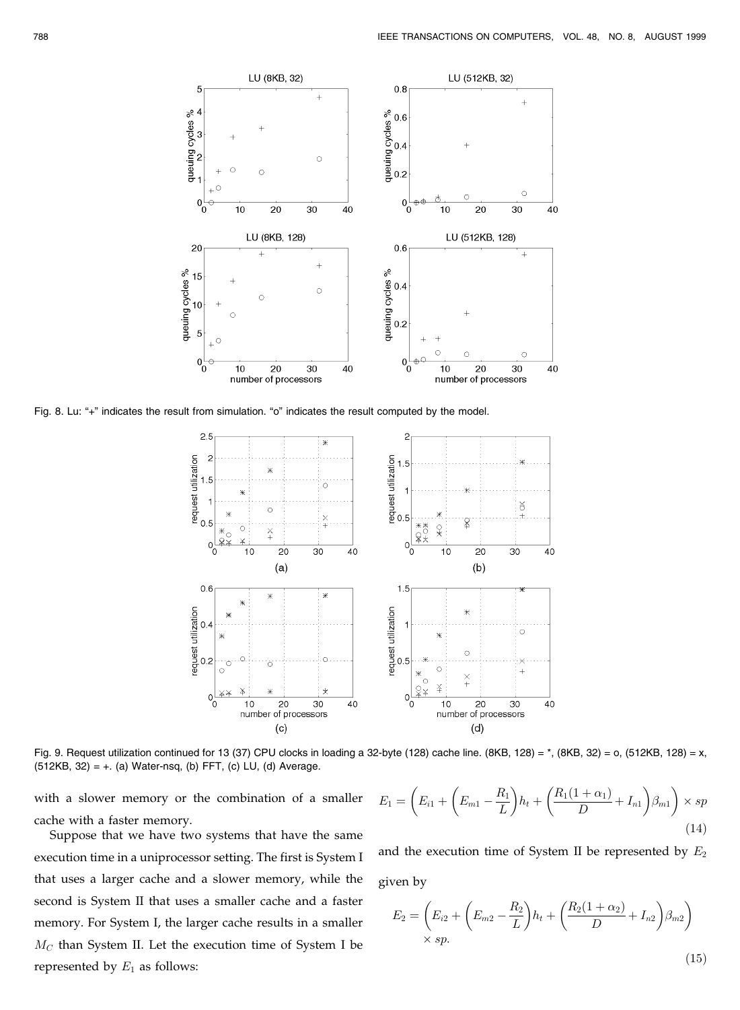

Fig. 8. Lu: "+" indicates the result from simulation. "o" indicates the result computed by the model.



Fig. 9. Request utilization continued for 13 (37) CPU clocks in loading a 32-byte (128) cache line. (8KB, 128) = \*, (8KB, 32) = o, (512KB, 128) = x,  $(512KB, 32) = +.$  (a) Water-nsq, (b) FFT, (c) LU, (d) Average.

with a slower memory or the combination of a smaller cache with a faster memory.

Suppose that we have two systems that have the same execution time in a uniprocessor setting. The first is System I that uses a larger cache and a slower memory, while the second is System II that uses a smaller cache and a faster memory. For System I, the larger cache results in a smaller  $M_C$  than System II. Let the execution time of System I be represented by  $E_1$  as follows:

$$
E_1 = \left(E_{i1} + \left(E_{m1} - \frac{R_1}{L}\right)h_t + \left(\frac{R_1(1+\alpha_1)}{D} + I_{n1}\right)\beta_{m1}\right) \times sp\tag{14}
$$

and the execution time of System II be represented by  $E_2$ given by

$$
E_2 = \left(E_{i2} + \left(E_{m2} - \frac{R_2}{L}\right)h_t + \left(\frac{R_2(1+\alpha_2)}{D} + I_{n2}\right)\beta_{m2}\right) \times sp.
$$
\n(15)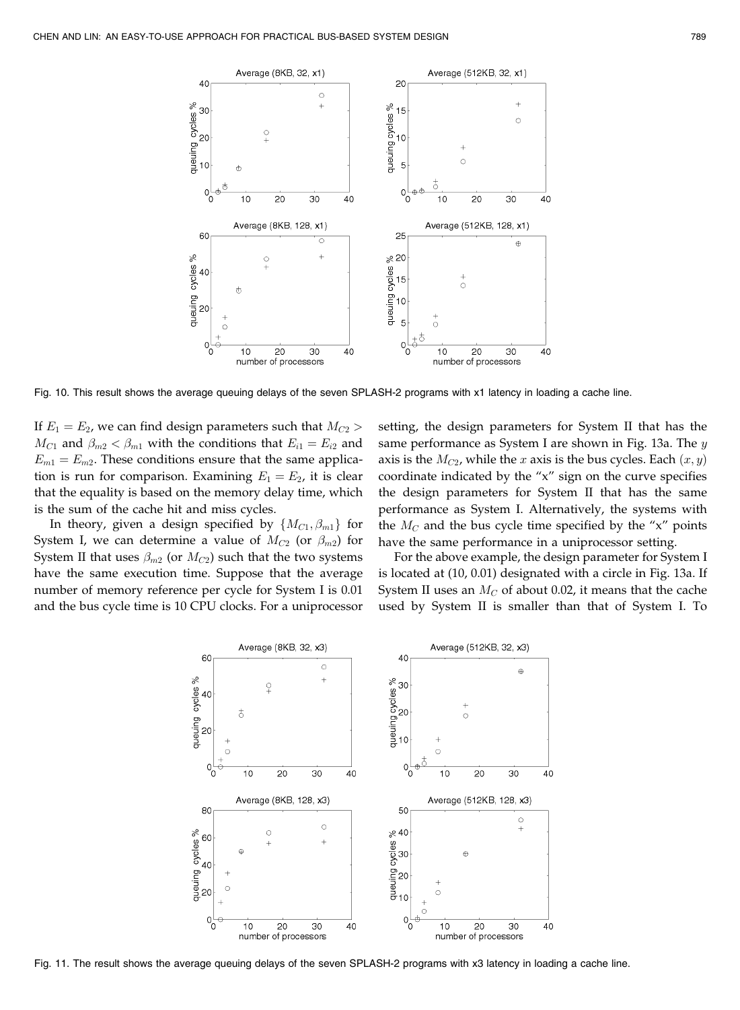

Fig. 10. This result shows the average queuing delays of the seven SPLASH-2 programs with x1 latency in loading a cache line.

If  $E_1 = E_2$ , we can find design parameters such that  $M_{C2} >$  $M_{C1}$  and  $\beta_{m2} < \beta_{m1}$  with the conditions that  $E_{i1} = E_{i2}$  and  $E_{m1} = E_{m2}$ . These conditions ensure that the same application is run for comparison. Examining  $E_1 = E_2$ , it is clear that the equality is based on the memory delay time, which is the sum of the cache hit and miss cycles.

In theory, given a design specified by  $\{M_{C_1}, \beta_{m1}\}\;$  for System I, we can determine a value of  $M_{C_2}$  (or  $\beta_{m2}$ ) for System II that uses  $\beta_{m2}$  (or  $M_{C2}$ ) such that the two systems have the same execution time. Suppose that the average number of memory reference per cycle for System I is 0.01 and the bus cycle time is 10 CPU clocks. For a uniprocessor

setting, the design parameters for System II that has the same performance as System I are shown in Fig. 13a. The y axis is the  $M_{C2}$ , while the x axis is the bus cycles. Each  $(x, y)$ coordinate indicated by the "x" sign on the curve specifies the design parameters for System II that has the same performance as System I. Alternatively, the systems with the  $M_C$  and the bus cycle time specified by the "x" points have the same performance in a uniprocessor setting.

For the above example, the design parameter for System I is located at (10, 0.01) designated with a circle in Fig. 13a. If System II uses an  $M_C$  of about 0.02, it means that the cache used by System II is smaller than that of System I. To



Fig. 11. The result shows the average queuing delays of the seven SPLASH-2 programs with x3 latency in loading a cache line.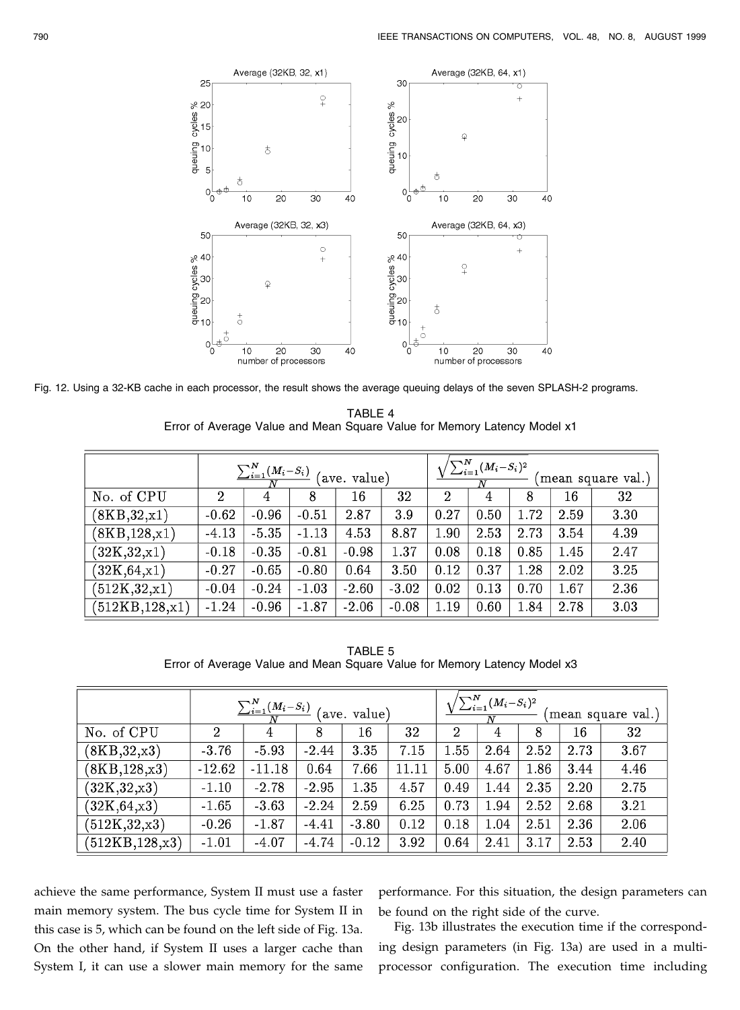

Fig. 12. Using a 32-KB cache in each processor, the result shows the average queuing delays of the seven SPLASH-2 programs.

|  | TABLE 4 |                                                                          |
|--|---------|--------------------------------------------------------------------------|
|  |         | Error of Average Value and Mean Square Value for Memory Latency Model x1 |

|                  | $\frac{\sum_{i=1}^{N}(M_i-S_i)}{N}$ (ave. value) |                |         |         |         | $\sqrt{\sum_{i=1}^N (M_i - S_i)^2}$<br>(mean square val.)<br>$\overline{N}$ |      |      |      |      |
|------------------|--------------------------------------------------|----------------|---------|---------|---------|-----------------------------------------------------------------------------|------|------|------|------|
| No. of CPU       | $\overline{2}$                                   | $\overline{4}$ | 8       | 16      | 32      | $\overline{2}$                                                              | 4    | 8    | 16   | 32   |
| (8KB, 32, x1)    | $-0.62$                                          | $-0.96$        | $-0.51$ | 2.87    | 3.9     | 0.27                                                                        | 0.50 | 1.72 | 2.59 | 3.30 |
| (8KB, 128, x1)   | $-4.13$                                          | $-5.35$        | $-1.13$ | 4.53    | 8.87    | 1.90                                                                        | 2.53 | 2.73 | 3.54 | 4.39 |
| (32K, 32, x1)    | $-0.18$                                          | $-0.35$        | $-0.81$ | $-0.98$ | 1.37    | 0.08                                                                        | 0.18 | 0.85 | 1.45 | 2.47 |
| (32K, 64, x1)    | $-0.27$                                          | $-0.65$        | $-0.80$ | 0.64    | 3.50    | 0.12                                                                        | 0.37 | 1.28 | 2.02 | 3.25 |
| (512K, 32, x1)   | $-0.04$                                          | $-0.24$        | $-1.03$ | $-2.60$ | $-3.02$ | 0.02                                                                        | 0.13 | 0.70 | 1.67 | 2.36 |
| (512KB, 128, x1) | $-1.24$                                          | $-0.96$        | $-1.87$ | $-2.06$ | $-0.08$ | 1.19                                                                        | 0.60 | 1.84 | 2.78 | 3.03 |

TABLE 5 Error of Average Value and Mean Square Value for Memory Latency Model x3

|                  | $\sum_{i=1}^N (M_i \! - \! S_i)$<br>(ave. value) |                |         |         |       | $\sqrt{\sum_{i=1}^N (M_i \!-\! S_i)^2}$<br>'mean square val.)<br>$\overline{N}$ |      |      |      |      |
|------------------|--------------------------------------------------|----------------|---------|---------|-------|---------------------------------------------------------------------------------|------|------|------|------|
| No. of CPU       | $\overline{2}$                                   | $\overline{4}$ | 8       | 16      | 32    | $\overline{2}$                                                                  | 4    | 8    | 16   | 32   |
| (8KB, 32, x3)    | $-3.76$                                          | $-5.93$        | $-2.44$ | 3.35    | 7.15  | 1.55                                                                            | 2.64 | 2.52 | 2.73 | 3.67 |
| (8KB, 128, x3)   | $-12.62$                                         | $-11.18$       | 0.64    | 7.66    | 11.11 | 5.00                                                                            | 4.67 | 1.86 | 3.44 | 4.46 |
| (32K, 32, x3)    | $-1.10$                                          | $-2.78$        | $-2.95$ | 1.35    | 4.57  | 0.49                                                                            | 1.44 | 2.35 | 2.20 | 2.75 |
| (32K, 64, x3)    | $-1.65$                                          | $-3.63$        | $-2.24$ | 2.59    | 6.25  | 0.73                                                                            | 1.94 | 2.52 | 2.68 | 3.21 |
| (512K, 32, x3)   | $-0.26$                                          | $-1.87$        | -4.41   | $-3.80$ | 0.12  | 0.18                                                                            | 1.04 | 2.51 | 2.36 | 2.06 |
| (512KB, 128, x3) | $-1.01$                                          | $-4.07$        | $-4.74$ | $-0.12$ | 3.92  | 0.64                                                                            | 2.41 | 3.17 | 2.53 | 2.40 |

achieve the same performance, System II must use a faster main memory system. The bus cycle time for System II in this case is 5, which can be found on the left side of Fig. 13a. On the other hand, if System II uses a larger cache than System I, it can use a slower main memory for the same

performance. For this situation, the design parameters can be found on the right side of the curve.

Fig. 13b illustrates the execution time if the corresponding design parameters (in Fig. 13a) are used in a multiprocessor configuration. The execution time including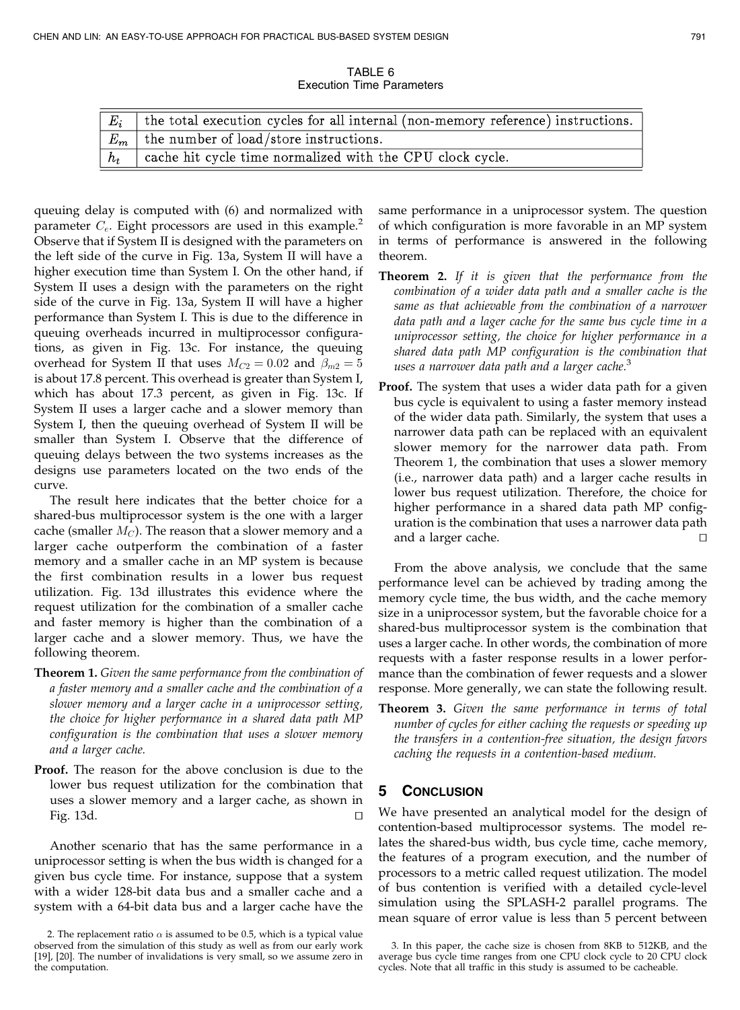TABLE 6 Execution Time Parameters

|       | $\mid E_i \mid$ the total execution cycles for all internal (non-memory reference) instructions. |  |  |  |  |  |  |
|-------|--------------------------------------------------------------------------------------------------|--|--|--|--|--|--|
|       | $E_m$ the number of load/store instructions.                                                     |  |  |  |  |  |  |
| $h_t$ | cache hit cycle time normalized with the CPU clock cycle.                                        |  |  |  |  |  |  |

queuing delay is computed with (6) and normalized with parameter  $C_e$ . Eight processors are used in this example.<sup>2</sup> Observe that if System II is designed with the parameters on the left side of the curve in Fig. 13a, System II will have a higher execution time than System I. On the other hand, if System II uses a design with the parameters on the right side of the curve in Fig. 13a, System II will have a higher performance than System I. This is due to the difference in queuing overheads incurred in multiprocessor configurations, as given in Fig. 13c. For instance, the queuing overhead for System II that uses  $M_{C2} = 0.02$  and  $\beta_{m2} = 5$ is about 17.8 percent. This overhead is greater than System I, which has about 17.3 percent, as given in Fig. 13c. If System II uses a larger cache and a slower memory than System I, then the queuing overhead of System II will be smaller than System I. Observe that the difference of queuing delays between the two systems increases as the designs use parameters located on the two ends of the curve.

The result here indicates that the better choice for a shared-bus multiprocessor system is the one with a larger cache (smaller  $M_C$ ). The reason that a slower memory and a larger cache outperform the combination of a faster memory and a smaller cache in an MP system is because the first combination results in a lower bus request utilization. Fig. 13d illustrates this evidence where the request utilization for the combination of a smaller cache and faster memory is higher than the combination of a larger cache and a slower memory. Thus, we have the following theorem.

- Theorem 1. Given the same performance from the combination of a faster memory and a smaller cache and the combination of a slower memory and a larger cache in a uniprocessor setting, the choice for higher performance in a shared data path MP configuration is the combination that uses a slower memory and a larger cache.
- Proof. The reason for the above conclusion is due to the lower bus request utilization for the combination that uses a slower memory and a larger cache, as shown in Fig. 13d.  $\Box$

Another scenario that has the same performance in a uniprocessor setting is when the bus width is changed for a given bus cycle time. For instance, suppose that a system with a wider 128-bit data bus and a smaller cache and a system with a 64-bit data bus and a larger cache have the same performance in a uniprocessor system. The question of which configuration is more favorable in an MP system in terms of performance is answered in the following theorem.

- Theorem 2. If it is given that the performance from the combination of a wider data path and a smaller cache is the same as that achievable from the combination of a narrower data path and a lager cache for the same bus cycle time in a uniprocessor setting, the choice for higher performance in a shared data path MP configuration is the combination that uses a narrower data path and a larger cache. $3$
- Proof. The system that uses a wider data path for a given bus cycle is equivalent to using a faster memory instead of the wider data path. Similarly, the system that uses a narrower data path can be replaced with an equivalent slower memory for the narrower data path. From Theorem 1, the combination that uses a slower memory (i.e., narrower data path) and a larger cache results in lower bus request utilization. Therefore, the choice for higher performance in a shared data path MP configuration is the combination that uses a narrower data path and a larger cache.  $\Box$

From the above analysis, we conclude that the same performance level can be achieved by trading among the memory cycle time, the bus width, and the cache memory size in a uniprocessor system, but the favorable choice for a shared-bus multiprocessor system is the combination that uses a larger cache. In other words, the combination of more requests with a faster response results in a lower performance than the combination of fewer requests and a slower response. More generally, we can state the following result.

**Theorem 3.** Given the same performance in terms of total number of cycles for either caching the requests or speeding up the transfers in a contention-free situation, the design favors caching the requests in a contention-based medium.

## 5 CONCLUSION

We have presented an analytical model for the design of contention-based multiprocessor systems. The model relates the shared-bus width, bus cycle time, cache memory, the features of a program execution, and the number of processors to a metric called request utilization. The model of bus contention is verified with a detailed cycle-level simulation using the SPLASH-2 parallel programs. The mean square of error value is less than 5 percent between

<sup>2.</sup> The replacement ratio  $\alpha$  is assumed to be 0.5, which is a typical value observed from the simulation of this study as well as from our early work [19], [20]. The number of invalidations is very small, so we assume zero in the computation.

<sup>3.</sup> In this paper, the cache size is chosen from 8KB to 512KB, and the average bus cycle time ranges from one CPU clock cycle to 20 CPU clock cycles. Note that all traffic in this study is assumed to be cacheable.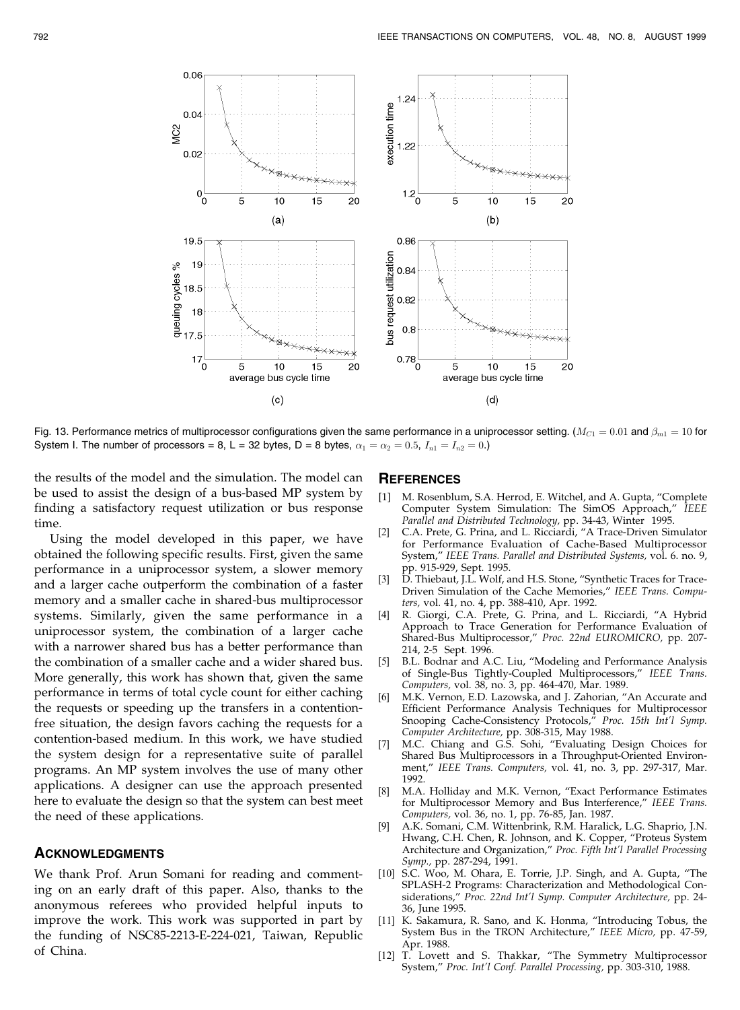

Fig. 13. Performance metrics of multiprocessor configurations given the same performance in a uniprocessor setting. ( $M_{C1} = 0.01$  and  $\beta_{m1} = 10$  for System I. The number of processors = 8, L = 32 bytes, D = 8 bytes,  $\alpha_1 = \alpha_2 = 0.5$ ,  $I_{n1} = I_{n2} = 0.$ )

the results of the model and the simulation. The model can be used to assist the design of a bus-based MP system by finding a satisfactory request utilization or bus response time.

Using the model developed in this paper, we have obtained the following specific results. First, given the same performance in a uniprocessor system, a slower memory and a larger cache outperform the combination of a faster memory and a smaller cache in shared-bus multiprocessor systems. Similarly, given the same performance in a uniprocessor system, the combination of a larger cache with a narrower shared bus has a better performance than the combination of a smaller cache and a wider shared bus. More generally, this work has shown that, given the same performance in terms of total cycle count for either caching the requests or speeding up the transfers in a contentionfree situation, the design favors caching the requests for a contention-based medium. In this work, we have studied the system design for a representative suite of parallel programs. An MP system involves the use of many other applications. A designer can use the approach presented here to evaluate the design so that the system can best meet the need of these applications.

## **ACKNOWLEDGMENTS**

We thank Prof. Arun Somani for reading and commenting on an early draft of this paper. Also, thanks to the anonymous referees who provided helpful inputs to improve the work. This work was supported in part by the funding of NSC85-2213-E-224-021, Taiwan, Republic of China.

### **REFERENCES**

- [1] M. Rosenblum, S.A. Herrod, E. Witchel, and A. Gupta, "Complete Computer System Simulation: The SimOS Approach," IEEE Parallel and Distributed Technology, pp. 34-43, Winter 1995.
- [2] C.A. Prete, G. Prina, and L. Ricciardi, "A Trace-Driven Simulator for Performance Evaluation of Cache-Based Multiprocessor System," IEEE Trans. Parallel and Distributed Systems, vol. 6. no. 9, pp. 915-929, Sept. 1995.
- [3]  $\bar{D}$ . Thiebaut, J.L. Wolf, and H.S. Stone, "Synthetic Traces for Trace-Driven Simulation of the Cache Memories," IEEE Trans. Computers, vol. 41, no. 4, pp. 388-410, Apr. 1992.
- [4] R. Giorgi, C.A. Prete, G. Prina, and L. Ricciardi, ªA Hybrid Approach to Trace Generation for Performance Evaluation of Shared-Bus Multiprocessor," Proc. 22nd EUROMICRO, pp. 207-214, 2-5 Sept. 1996.
- [5] B.L. Bodnar and A.C. Liu, ªModeling and Performance Analysis of Single-Bus Tightly-Coupled Multiprocessors," IEEE Trans. Computers, vol. 38, no. 3, pp. 464-470, Mar. 1989.
- [6] M.K. Vernon, E.D. Lazowska, and J. Zahorian, "An Accurate and Efficient Performance Analysis Techniques for Multiprocessor Snooping Cache-Consistency Protocols," Proc. 15th Int'l Symp. Computer Architecture, pp. 308-315, May 1988.
- [7] M.C. Chiang and G.S. Sohi, "Evaluating Design Choices for Shared Bus Multiprocessors in a Throughput-Oriented Environment," IEEE Trans. Computers, vol. 41, no. 3, pp. 297-317, Mar. 1992.
- [8] M.A. Holliday and M.K. Vernon, "Exact Performance Estimates for Multiprocessor Memory and Bus Interference," IEEE Trans. Computers, vol. 36, no. 1, pp. 76-85, Jan. 1987.
- [9] A.K. Somani, C.M. Wittenbrink, R.M. Haralick, L.G. Shaprio, J.N. Hwang, C.H. Chen, R. Johnson, and K. Copper, "Proteus System Architecture and Organization," Proc. Fifth Int'l Parallel Processing Symp., pp. 287-294, 1991.
- [10] S.C. Woo, M. Ohara, E. Torrie, J.P. Singh, and A. Gupta, "The SPLASH-2 Programs: Characterization and Methodological Considerations," Proc. 22nd Int'l Symp. Computer Architecture, pp. 24-36, June 1995.
- [11] K. Sakamura, R. Sano, and K. Honma, "Introducing Tobus, the System Bus in the TRON Architecture," IEEE Micro, pp. 47-59, Apr. 1988.
- [12] T. Lovett and S. Thakkar, "The Symmetry Multiprocessor System," Proc. Int'l Conf. Parallel Processing, pp. 303-310, 1988.